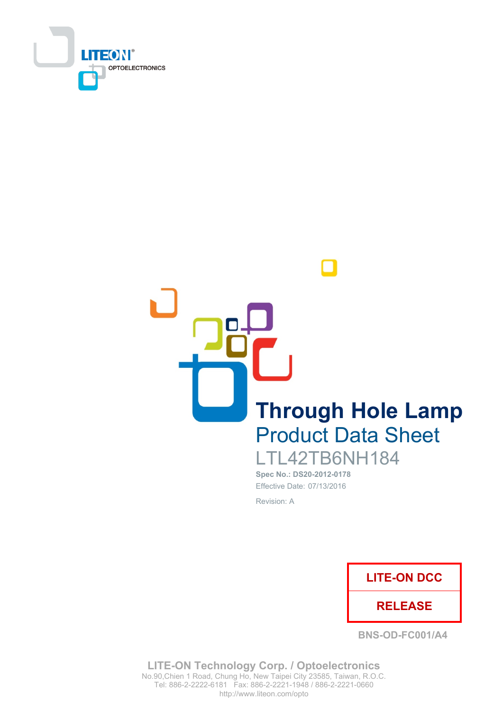

**Through Hole Lamp Product Data Sheet** LTL42TB6NH184

Spec No.: DS20-2012-0178 Effective Date: 07/13/2016 Revision: A



**BNS-OD-FC001/A4** 

**LITE-ON Technology Corp. / Optoelectronics** No.90, Chien 1 Road, Chung Ho, New Taipei City 23585, Taiwan, R.O.C. Tel: 886-2-2222-6181 Fax: 886-2-2221-1948 / 886-2-2221-0660 http://www.liteon.com/opto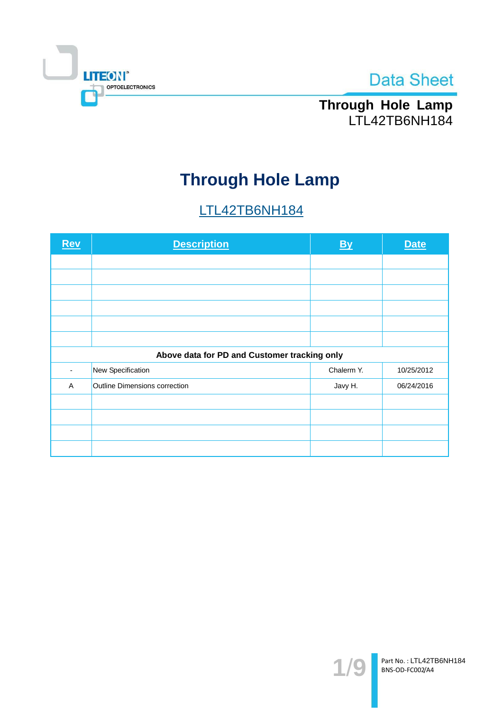



Through Hole Lamp<br>LTL42TB6NH184

# **Through Hole Lamp**

# LTL42TB6NH184

| <b>Rev</b>                                   | <b>Description</b>            | <b>By</b>  | <b>Date</b> |  |  |  |
|----------------------------------------------|-------------------------------|------------|-------------|--|--|--|
|                                              |                               |            |             |  |  |  |
|                                              |                               |            |             |  |  |  |
|                                              |                               |            |             |  |  |  |
|                                              |                               |            |             |  |  |  |
|                                              |                               |            |             |  |  |  |
|                                              |                               |            |             |  |  |  |
| Above data for PD and Customer tracking only |                               |            |             |  |  |  |
|                                              | New Specification             | Chalerm Y. | 10/25/2012  |  |  |  |
| $\overline{A}$                               | Outline Dimensions correction | Javy H.    | 06/24/2016  |  |  |  |
|                                              |                               |            |             |  |  |  |
|                                              |                               |            |             |  |  |  |
|                                              |                               |            |             |  |  |  |
|                                              |                               |            |             |  |  |  |

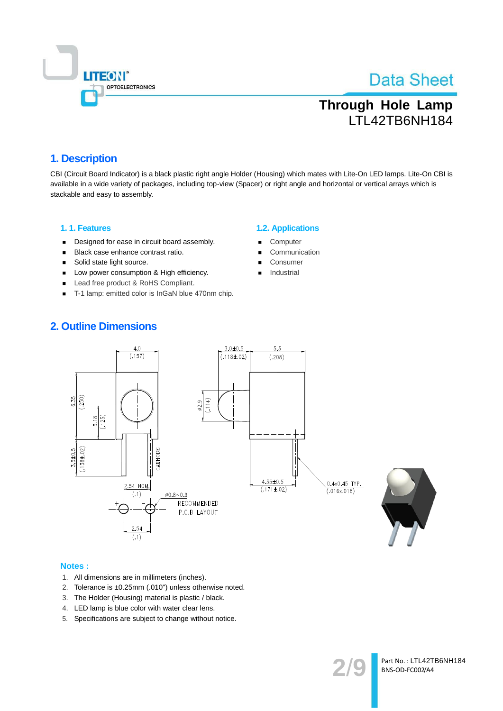

# **Through Hole Lamp** LTL42TB6NH184

### 1. Description

CBI (Circuit Board Indicator) is a black plastic right angle Holder (Housing) which mates with Lite-On LED lamps. Lite-On CBI is available in a wide variety of packages, including top-view (Spacer) or right angle and horizontal or vertical arrays which is stackable and easy to assembly.

### 1.1. Features

- Designed for ease in circuit board assembly.  $\blacksquare$
- Black case enhance contrast ratio.  $\blacksquare$
- $\blacksquare$ Solid state light source.
- Low power consumption & High efficiency.
- Lead free product & RoHS Compliant.
- T-1 lamp: emitted color is InGaN blue 470nm chip.

#### **1.2. Applications**

- Computer
- Communication
- Consumer
- Industrial

### **2. Outline Dimensions**





- 1. All dimensions are in millimeters (inches).
- 2. Tolerance is ±0.25mm (.010") unless otherwise noted.
- 3. The Holder (Housing) material is plastic / black.
- 4. LED lamp is blue color with water clear lens.
- 5. Specifications are subject to change without notice.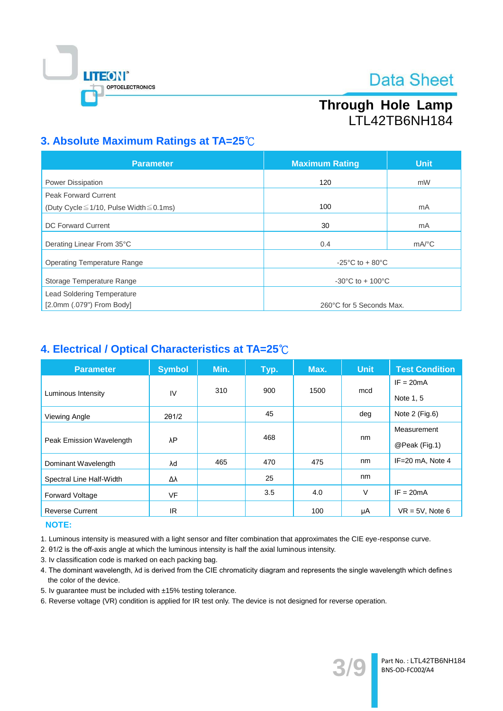

# Through Hole Lamp LTL42TB6NH184

### 3. Absolute Maximum Ratings at TA=25°C

| <b>Parameter</b>                                   | <b>Maximum Rating</b>                                 | <b>Unit</b>           |  |
|----------------------------------------------------|-------------------------------------------------------|-----------------------|--|
| Power Dissipation                                  | 120                                                   | mW                    |  |
| <b>Peak Forward Current</b>                        |                                                       |                       |  |
| (Duty Cycle $\leq$ 1/10, Pulse Width $\leq$ 0.1ms) | 100                                                   | mA                    |  |
| <b>DC Forward Current</b>                          | 30                                                    | mA                    |  |
| Derating Linear From 35°C                          | 0.4                                                   | $mA$ <sup>o</sup> $C$ |  |
| <b>Operating Temperature Range</b>                 | -25 $\mathrm{^{\circ}C}$ to + 80 $\mathrm{^{\circ}C}$ |                       |  |
| Storage Temperature Range                          | $-30^{\circ}$ C to + 100 $^{\circ}$ C                 |                       |  |
| <b>Lead Soldering Temperature</b>                  |                                                       |                       |  |
| [2.0mm (.079") From Body]                          | 260°C for 5 Seconds Max.                              |                       |  |

### 4. Electrical / Optical Characteristics at TA=25°C

| <b>Parameter</b>         | <b>Symbol</b> | Min. | Typ. | Max. | <b>Unit</b> | <b>Test Condition</b> |
|--------------------------|---------------|------|------|------|-------------|-----------------------|
|                          |               | 310  | 900  | 1500 |             | $IF = 20mA$           |
| Luminous Intensity       | IV            |      |      |      | mcd         | Note 1, 5             |
| Viewing Angle            | 201/2         |      | 45   |      | deg         | Note $2$ (Fig.6)      |
|                          | λP            |      |      |      | Measurement |                       |
| Peak Emission Wavelength |               |      | 468  |      | nm          | @Peak (Fig.1)         |
| Dominant Wavelength      | λd            | 465  | 470  | 475  | nm          | IF=20 mA, Note 4      |
| Spectral Line Half-Width | Δλ            |      | 25   |      | nm          |                       |
| <b>Forward Voltage</b>   | <b>VF</b>     |      | 3.5  | 4.0  | $\vee$      | $IF = 20mA$           |
| <b>Reverse Current</b>   | IR.           |      |      | 100  | μA          | $VR = 5V$ , Note 6    |

### NOTE:

1. Luminous intensity is measured with a light sensor and filter combination that approximates the CIE eye-response curve.

2. 01/2 is the off-axis angle at which the luminous intensity is half the axial luminous intensity.

- 3. Iv classification code is marked on each packing bag.
- 4. The dominant wavelength, Ad is derived from the CIE chromaticity diagram and represents the single wavelength which defines the color of the device.
- 5. Iv guarantee must be included with ±15% testing tolerance.

6. Reverse voltage (VR) condition is applied for IR test only. The device is not designed for reverse operation.

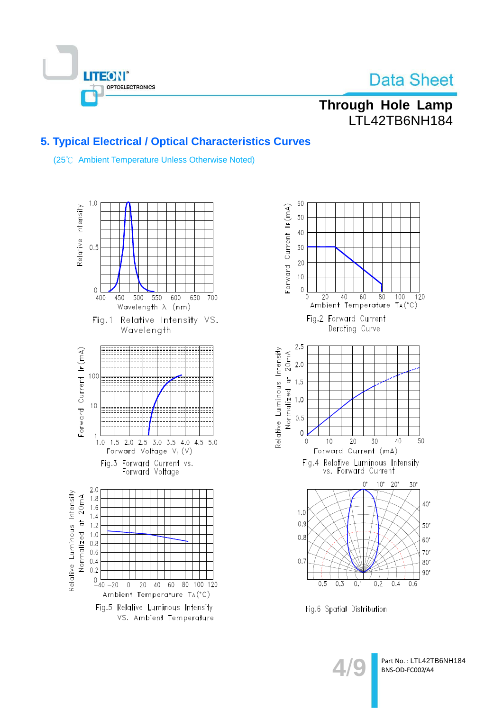

# Through Hole Lamp LTL42TB6NH184

### 5. Typical Electrical / Optical Characteristics Curves

(25°C Ambient Temperature Unless Otherwise Noted)





Fig.6 Spatial Distribution

Part No.: LTL42TB6NH184 BNS-OD-FC002/A4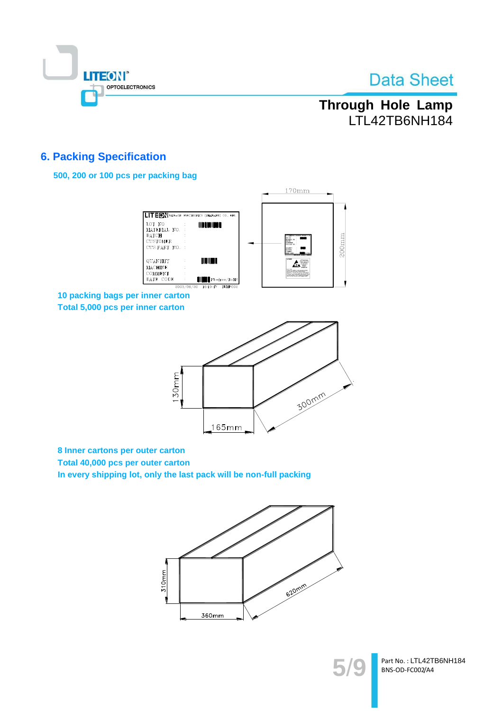

# Through Hole Lamp LTL42TB6NH184

### **6. Packing Specification**

### 500, 200 or 100 pcs per packing bag



10 packing bags per inner carton Total 5,000 pcs per inner carton



8 Inner cartons per outer carton

Total 40,000 pcs per outer carton

In every shipping lot, only the last pack will be non-full packing





Part No.: LTL42TB6NH184 BNS-OD-FC002/A4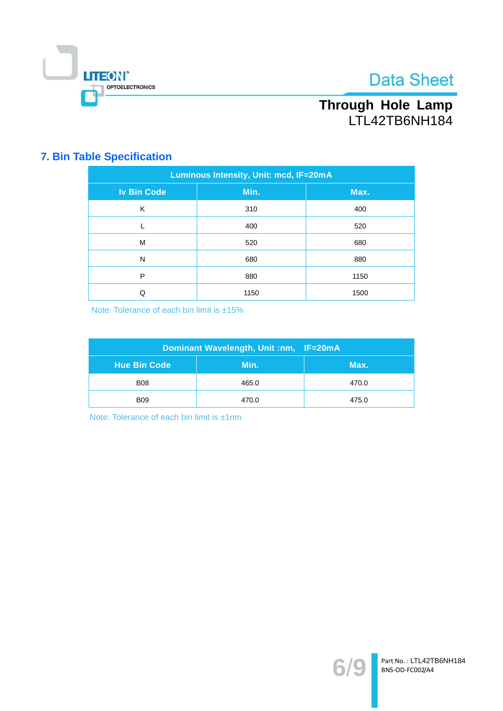

# Through Hole Lamp<br>LTL42TB6NH184

# **7. Bin Table Specification**

| Luminous Intensity, Unit: mcd, IF=20mA |      |      |  |  |
|----------------------------------------|------|------|--|--|
| <b>Iv Bin Code</b>                     | Min. | Max. |  |  |
| K                                      | 310  | 400  |  |  |
|                                        | 400  | 520  |  |  |
| M                                      | 520  | 680  |  |  |
| N                                      | 680  | 880  |  |  |
| P                                      | 880  | 1150 |  |  |
| Q                                      | 1150 | 1500 |  |  |

Note: Tolerance of each bin limit is ±15%

| Dominant Wavelength, Unit :nm, IF=20mA |       |       |  |  |
|----------------------------------------|-------|-------|--|--|
| Hue Bin Code                           | Min.  | Max.  |  |  |
| <b>B08</b>                             | 465.0 | 470.0 |  |  |
| <b>B09</b>                             | 470.0 | 475.0 |  |  |

Note: Tolerance of each bin limit is ±1nm

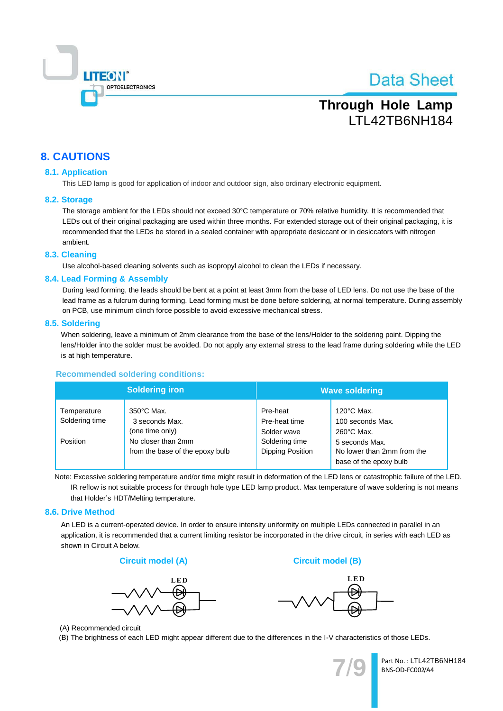

# **Through Hole Lamp** LTL42TB6NH184

### **8. CAUTIONS**

#### **8.1. Application**

This LED lamp is good for application of indoor and outdoor sign, also ordinary electronic equipment.

#### 8.2. Storage

The storage ambient for the LEDs should not exceed 30°C temperature or 70% relative humidity. It is recommended that LEDs out of their original packaging are used within three months. For extended storage out of their original packaging, it is recommended that the LEDs be stored in a sealed container with appropriate desiccant or in desiccators with nitrogen ambient.

#### 8.3. Cleaning

Use alcohol-based cleaning solvents such as isopropyl alcohol to clean the LEDs if necessary.

#### 8.4. Lead Forming & Assembly

During lead forming, the leads should be bent at a point at least 3mm from the base of LED lens. Do not use the base of the lead frame as a fulcrum during forming. Lead forming must be done before soldering, at normal temperature. During assembly on PCB, use minimum clinch force possible to avoid excessive mechanical stress.

#### 8.5. Soldering

When soldering, leave a minimum of 2mm clearance from the base of the lens/Holder to the soldering point. Dipping the lens/Holder into the solder must be avoided. Do not apply any external stress to the lead frame during soldering while the LED is at high temperature.

#### **Recommended soldering conditions:**

|                                           | <b>Soldering iron</b>                                                                                              | <b>Wave soldering</b>                                                          |                                                                                                                                            |  |
|-------------------------------------------|--------------------------------------------------------------------------------------------------------------------|--------------------------------------------------------------------------------|--------------------------------------------------------------------------------------------------------------------------------------------|--|
| Temperature<br>Soldering time<br>Position | $350^{\circ}$ C Max.<br>3 seconds Max.<br>(one time only)<br>No closer than 2mm<br>from the base of the epoxy bulb | Pre-heat<br>Pre-heat time<br>Solder wave<br>Soldering time<br>Dipping Position | $120^{\circ}$ C Max.<br>100 seconds Max.<br>$260^{\circ}$ C Max.<br>5 seconds Max.<br>No lower than 2mm from the<br>base of the epoxy bulb |  |

Note: Excessive soldering temperature and/or time might result in deformation of the LED lens or catastrophic failure of the LED. IR reflow is not suitable process for through hole type LED lamp product. Max temperature of wave soldering is not means that Holder's HDT/Melting temperature.

#### 8.6. Drive Method

An LED is a current-operated device. In order to ensure intensity uniformity on multiple LEDs connected in parallel in an application, it is recommended that a current limiting resistor be incorporated in the drive circuit, in series with each LED as shown in Circuit A below.







**Circuit model (B)** 

(A) Recommended circuit

(B) The brightness of each LED might appear different due to the differences in the I-V characteristics of those LEDs.

Part No.: LTL42TB6NH184 BNS-OD-FC002/A4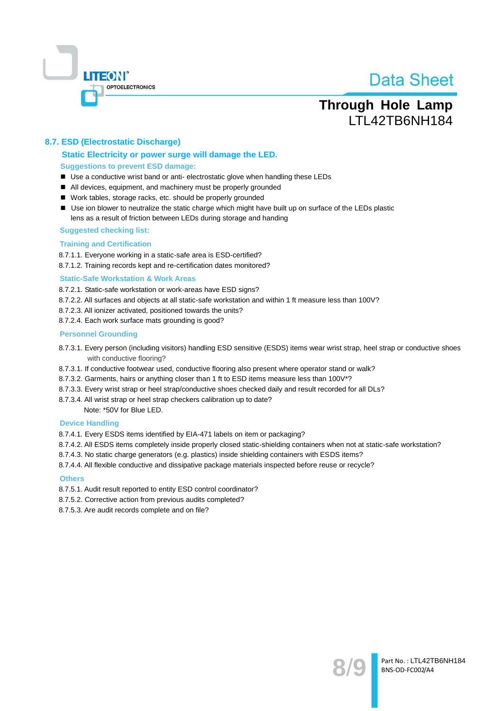

# **Through Hole Lamp** LTL42TB6NH184

### 8.7. ESD (Electrostatic Discharge)

### Static Electricity or power surge will damage the LED. **Suggestions to prevent ESD damage:**

- Use a conductive wrist band or anti-electrostatic glove when handling these LEDs
- All devices, equipment, and machinery must be properly grounded
- Work tables, storage racks, etc. should be properly grounded
- Use ion blower to neutralize the static charge which might have built up on surface of the LEDs plastic lens as a result of friction between LEDs during storage and handing

#### **Suggested checking list:**

#### **Training and Certification**

8.7.1.1. Everyone working in a static-safe area is ESD-certified?

8.7.1.2. Training records kept and re-certification dates monitored?

#### **Static-Safe Workstation & Work Areas**

8.7.2.1. Static-safe workstation or work-areas have ESD signs?

- 8.7.2.2. All surfaces and objects at all static-safe workstation and within 1 ft measure less than 100V?
- 8.7.2.3. All ionizer activated, positioned towards the units?
- 8.7.2.4. Each work surface mats grounding is good?

#### **Personnel Grounding**

- 8.7.3.1. Every person (including visitors) handling ESD sensitive (ESDS) items wear wrist strap, heel strap or conductive shoes with conductive flooring?
- 8.7.3.1. If conductive footwear used, conductive flooring also present where operator stand or walk?
- 8.7.3.2. Garments, hairs or anything closer than 1 ft to ESD items measure less than 100V\*?
- 8.7.3.3. Every wrist strap or heel strap/conductive shoes checked daily and result recorded for all DLs?
- 8.7.3.4. All wrist strap or heel strap checkers calibration up to date?

Note: \*50V for Blue LED.

#### **Device Handling**

8.7.4.1. Every ESDS items identified by EIA-471 labels on item or packaging?

- 8.7.4.2. All ESDS items completely inside properly closed static-shielding containers when not at static-safe workstation?
- 8.7.4.3. No static charge generators (e.g. plastics) inside shielding containers with ESDS items?
- 8.7.4.4. All flexible conductive and dissipative package materials inspected before reuse or recycle?

#### **Others**

- 8.7.5.1. Audit result reported to entity ESD control coordinator?
- 8.7.5.2. Corrective action from previous audits completed?
- 8.7.5.3. Are audit records complete and on file?